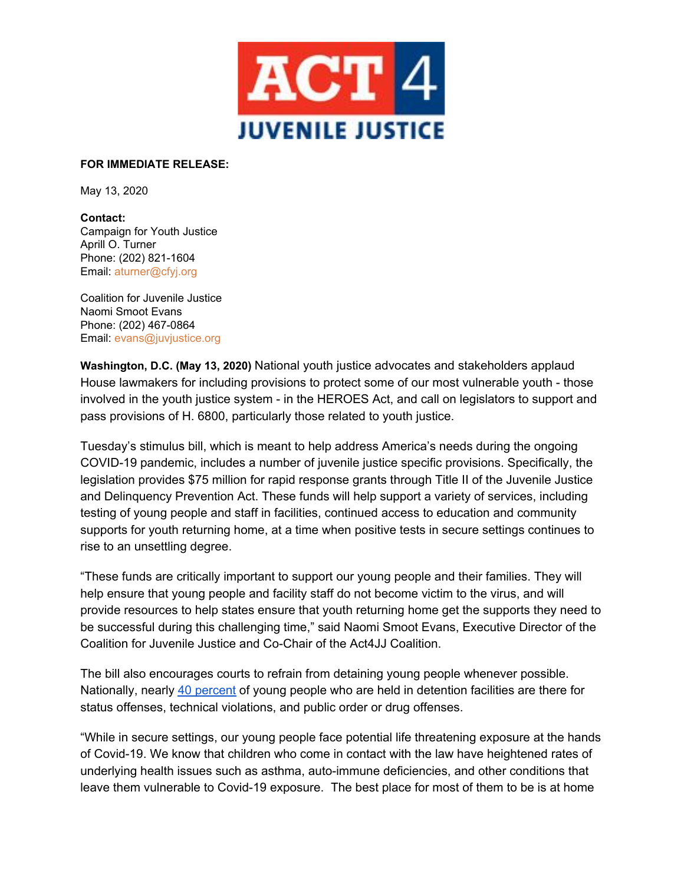

## **FOR IMMEDIATE RELEASE:**

May 13, 2020

**Contact:** Campaign for Youth Justice Aprill O. Turner Phone: (202) 821-1604 Email: aturner@cfyj.org

Coalition for Juvenile Justice Naomi Smoot Evans Phone: (202) 467-0864 Email: evans@juvjustice.org

**Washington, D.C. (May 13, 2020)** National youth justice advocates and stakeholders applaud House lawmakers for including provisions to protect some of our most vulnerable youth - those involved in the youth justice system - in the HEROES Act, and call on legislators to support and pass provisions of H. 6800, particularly those related to youth justice.

Tuesday's stimulus bill, which is meant to help address America's needs during the ongoing COVID-19 pandemic, includes a number of juvenile justice specific provisions. Specifically, the legislation provides \$75 million for rapid response grants through Title II of the Juvenile Justice and Delinquency Prevention Act. These funds will help support a variety of services, including testing of young people and staff in facilities, continued access to education and community supports for youth returning home, at a time when positive tests in secure settings continues to rise to an unsettling degree.

"These funds are critically important to support our young people and their families. They will help ensure that young people and facility staff do not become victim to the virus, and will provide resources to help states ensure that youth returning home get the supports they need to be successful during this challenging time," said Naomi Smoot Evans, Executive Director of the Coalition for Juvenile Justice and Co-Chair of the Act4JJ Coalition.

The bill also encourages courts to refrain from detaining young people whenever possible. Nationally, nearly 40 [percent](https://www.prisonpolicy.org/reports/youth2019.html) of young people who are held in detention facilities are there for status offenses, technical violations, and public order or drug offenses.

"While in secure settings, our young people face potential life threatening exposure at the hands of Covid-19. We know that children who come in contact with the law have heightened rates of underlying health issues such as asthma, auto-immune deficiencies, and other conditions that leave them vulnerable to Covid-19 exposure. The best place for most of them to be is at home